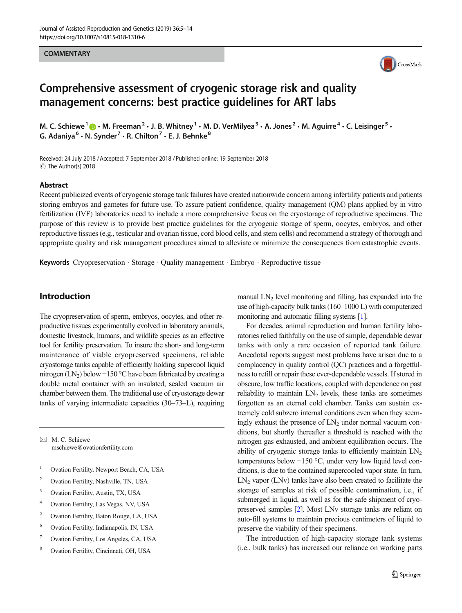#### **COMMENTARY**



# Comprehensive assessment of cryogenic storage risk and quality management concerns: best practice guidelines for ART labs

M. C. Schiewe<sup>1</sup>  $\bigcirc \cdot$  M. Freeman<sup>2</sup>  $\cdot$  J. B. Whitney<sup>1</sup>  $\cdot$  M. D. VerMilyea<sup>3</sup>  $\cdot$  A. Jones<sup>2</sup>  $\cdot$  M. Aguirre<sup>4</sup>  $\cdot$  C. Leisinger<sup>5</sup>  $\cdot$ G. Adaniya<sup>6</sup> · N. Synder<sup>7</sup> · R. Chilton<sup>7</sup> · E. J. Behnke<sup>8</sup>

Received: 24 July 2018 /Accepted: 7 September 2018 /Published online: 19 September 2018  $\circledcirc$  The Author(s) 2018

#### Abstract

Recent publicized events of cryogenic storage tank failures have created nationwide concern among infertility patients and patients storing embryos and gametes for future use. To assure patient confidence, quality management (QM) plans applied by in vitro fertilization (IVF) laboratories need to include a more comprehensive focus on the cryostorage of reproductive specimens. The purpose of this review is to provide best practice guidelines for the cryogenic storage of sperm, oocytes, embryos, and other reproductive tissues (e.g., testicular and ovarian tissue, cord blood cells, and stem cells) and recommend a strategy of thorough and appropriate quality and risk management procedures aimed to alleviate or minimize the consequences from catastrophic events.

Keywords Cryopreservation . Storage . Quality management . Embryo . Reproductive tissue

## Introduction

The cryopreservation of sperm, embryos, oocytes, and other reproductive tissues experimentally evolved in laboratory animals, domestic livestock, humans, and wildlife species as an effective tool for fertility preservation. To insure the short- and long-term maintenance of viable cryopreserved specimens, reliable cryostorage tanks capable of efficiently holding supercool liquid nitrogen (LN<sub>2</sub>) below −150 °C have been fabricated by creating a double metal container with an insulated, sealed vacuum air chamber between them. The traditional use of cryostorage dewar tanks of varying intermediate capacities (30–73–L), requiring

 $\boxtimes$  M. C. Schiewe [mschiewe@ovationfertility.com](mailto:mschiewe@ovationfertility.com)

- <sup>1</sup> Ovation Fertility, Newport Beach, CA, USA
- <sup>2</sup> Ovation Fertility, Nashville, TN, USA
- <sup>3</sup> Ovation Fertility, Austin, TX, USA
- <sup>4</sup> Ovation Fertility, Las Vegas, NV, USA
- <sup>5</sup> Ovation Fertility, Baton Rouge, LA, USA
- <sup>6</sup> Ovation Fertility, Indianapolis, IN, USA
- <sup>7</sup> Ovation Fertility, Los Angeles, CA, USA
- <sup>8</sup> Ovation Fertility, Cincinnati, OH, USA

manual  $LN<sub>2</sub>$  level monitoring and filling, has expanded into the use of high-capacity bulk tanks (160–1000 L) with computerized monitoring and automatic filling systems [\[1\]](#page-8-0).

For decades, animal reproduction and human fertility laboratories relied faithfully on the use of simple, dependable dewar tanks with only a rare occasion of reported tank failure. Anecdotal reports suggest most problems have arisen due to a complacency in quality control (QC) practices and a forgetfulness to refill or repair these ever-dependable vessels. If stored in obscure, low traffic locations, coupled with dependence on past reliability to maintain  $LN<sub>2</sub>$  levels, these tanks are sometimes forgotten as an eternal cold chamber. Tanks can sustain extremely cold subzero internal conditions even when they seemingly exhaust the presence of  $LN<sub>2</sub>$  under normal vacuum conditions, but shortly thereafter a threshold is reached with the nitrogen gas exhausted, and ambient equilibration occurs. The ability of cryogenic storage tanks to efficiently maintain  $LN<sub>2</sub>$ temperatures below −150 °C, under very low liquid level conditions, is due to the contained supercooled vapor state. In turn,  $LN<sub>2</sub>$  vapor (LNv) tanks have also been created to facilitate the storage of samples at risk of possible contamination, i.e., if submerged in liquid, as well as for the safe shipment of cryopreserved samples [[2](#page-8-0)]. Most LNv storage tanks are reliant on auto-fill systems to maintain precious centimeters of liquid to preserve the viability of their specimens.

The introduction of high-capacity storage tank systems (i.e., bulk tanks) has increased our reliance on working parts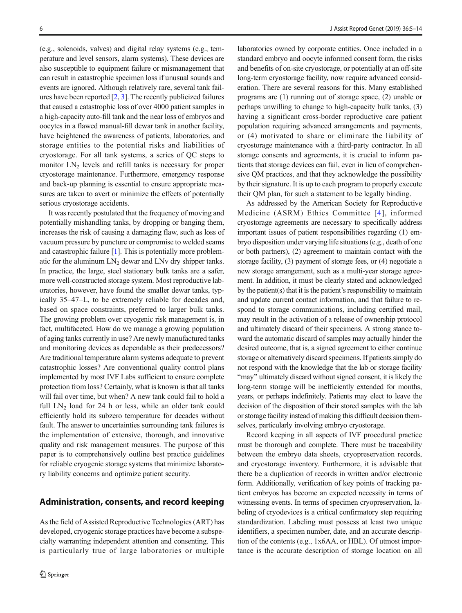(e.g., solenoids, valves) and digital relay systems (e.g., temperature and level sensors, alarm systems). These devices are also susceptible to equipment failure or mismanagement that can result in catastrophic specimen loss if unusual sounds and events are ignored. Although relatively rare, several tank failures have been reported  $[2, 3]$  $[2, 3]$  $[2, 3]$  $[2, 3]$ . The recently publicized failures that caused a catastrophic loss of over 4000 patient samples in a high-capacity auto-fill tank and the near loss of embryos and oocytes in a flawed manual-fill dewar tank in another facility, have heightened the awareness of patients, laboratories, and storage entities to the potential risks and liabilities of cryostorage. For all tank systems, a series of QC steps to monitor  $LN<sub>2</sub>$  levels and refill tanks is necessary for proper cryostorage maintenance. Furthermore, emergency response and back-up planning is essential to ensure appropriate measures are taken to avert or minimize the effects of potentially serious cryostorage accidents.

It was recently postulated that the frequency of moving and potentially mishandling tanks, by dropping or banging them, increases the risk of causing a damaging flaw, such as loss of vacuum pressure by puncture or compromise to welded seams and catastrophic failure [[1\]](#page-8-0). This is potentially more problematic for the aluminum  $LN_2$  dewar and LNv dry shipper tanks. In practice, the large, steel stationary bulk tanks are a safer, more well-constructed storage system. Most reproductive laboratories, however, have found the smaller dewar tanks, typically 35–47–L, to be extremely reliable for decades and, based on space constraints, preferred to larger bulk tanks. The growing problem over cryogenic risk management is, in fact, multifaceted. How do we manage a growing population of aging tanks currently in use? Are newly manufactured tanks and monitoring devices as dependable as their predecessors? Are traditional temperature alarm systems adequate to prevent catastrophic losses? Are conventional quality control plans implemented by most IVF Labs sufficient to ensure complete protection from loss? Certainly, what is known is that all tanks will fail over time, but when? A new tank could fail to hold a full  $LN_2$  load for 24 h or less, while an older tank could efficiently hold its subzero temperature for decades without fault. The answer to uncertainties surrounding tank failures is the implementation of extensive, thorough, and innovative quality and risk management measures. The purpose of this paper is to comprehensively outline best practice guidelines for reliable cryogenic storage systems that minimize laboratory liability concerns and optimize patient security.

As the field of Assisted Reproductive Technologies (ART) has developed, cryogenic storage practices have become a subspecialty warranting independent attention and consenting. This is particularly true of large laboratories or multiple

laboratories owned by corporate entities. Once included in a standard embryo and oocyte informed consent form, the risks and benefits of on-site cryostorage, or potentially at an off-site long-term cryostorage facility, now require advanced consideration. There are several reasons for this. Many established programs are (1) running out of storage space, (2) unable or perhaps unwilling to change to high-capacity bulk tanks, (3) having a significant cross-border reproductive care patient population requiring advanced arrangements and payments, or (4) motivated to share or eliminate the liability of cryostorage maintenance with a third-party contractor. In all storage consents and agreements, it is crucial to inform patients that storage devices can fail, even in lieu of comprehensive QM practices, and that they acknowledge the possibility by their signature. It is up to each program to properly execute their QM plan, for such a statement to be legally binding.

As addressed by the American Society for Reproductive Medicine (ASRM) Ethics Committee [[4](#page-8-0)], informed cryostorage agreements are necessary to specifically address important issues of patient responsibilities regarding (1) embryo disposition under varying life situations (e.g., death of one or both partners), (2) agreement to maintain contact with the storage facility, (3) payment of storage fees, or (4) negotiate a new storage arrangement, such as a multi-year storage agreement. In addition, it must be clearly stated and acknowledged by the patient(s) that it is the patient's responsibility to maintain and update current contact information, and that failure to respond to storage communications, including certified mail, may result in the activation of a release of ownership protocol and ultimately discard of their specimens. A strong stance toward the automatic discard of samples may actually hinder the desired outcome, that is, a signed agreement to either continue storage or alternatively discard specimens. If patients simply do not respond with the knowledge that the lab or storage facility "may" ultimately discard without signed consent, it is likely the long-term storage will be inefficiently extended for months, years, or perhaps indefinitely. Patients may elect to leave the decision of the disposition of their stored samples with the lab or storage facility instead of making this difficult decision themselves, particularly involving embryo cryostorage.

Record keeping in all aspects of IVF procedural practice must be thorough and complete. There must be traceability between the embryo data sheets, cryopreservation records, and cryostorage inventory. Furthermore, it is advisable that there be a duplication of records in written and/or electronic form. Additionally, verification of key points of tracking patient embryos has become an expected necessity in terms of witnessing events. In terms of specimen cryopreservation, labeling of cryodevices is a critical confirmatory step requiring standardization. Labeling must possess at least two unique identifiers, a specimen number, date, and an accurate description of the contents (e.g., 1x6AA, or HBL). Of utmost importance is the accurate description of storage location on all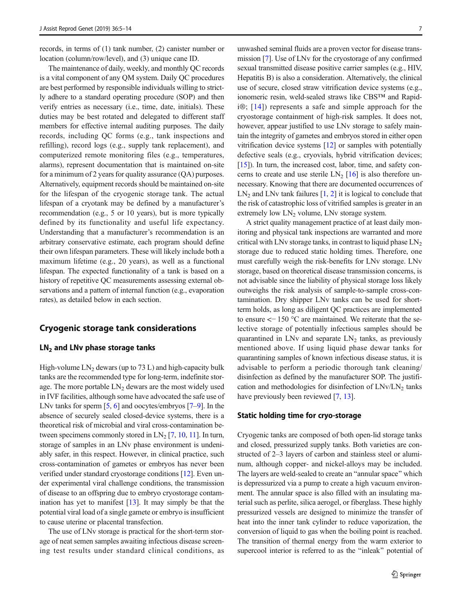records, in terms of (1) tank number, (2) canister number or location (column/row/level), and (3) unique cane ID.

The maintenance of daily, weekly, and monthly QC records is a vital component of any QM system. Daily QC procedures are best performed by responsible individuals willing to strictly adhere to a standard operating procedure (SOP) and then verify entries as necessary (i.e., time, date, initials). These duties may be best rotated and delegated to different staff members for effective internal auditing purposes. The daily records, including QC forms (e.g., tank inspections and refilling), record logs (e.g., supply tank replacement), and computerized remote monitoring files (e.g., temperatures, alarms), represent documentation that is maintained on-site for a minimum of 2 years for quality assurance (QA) purposes. Alternatively, equipment records should be maintained on-site for the lifespan of the cryogenic storage tank. The actual lifespan of a cryotank may be defined by a manufacturer's recommendation (e.g., 5 or 10 years), but is more typically defined by its functionality and useful life expectancy. Understanding that a manufacturer's recommendation is an arbitrary conservative estimate, each program should define their own lifespan parameters. These will likely include both a maximum lifetime (e.g., 20 years), as well as a functional lifespan. The expected functionality of a tank is based on a history of repetitive QC measurements assessing external observations and a pattern of internal function (e.g., evaporation rates), as detailed below in each section.

## Cryogenic storage tank considerations

## $LN<sub>2</sub>$  and LNv phase storage tanks

High-volume  $LN_2$  dewars (up to 73 L) and high-capacity bulk tanks are the recommended type for long-term, indefinite storage. The more portable  $LN<sub>2</sub>$  dewars are the most widely used in IVF facilities, although some have advocated the safe use of LNv tanks for sperm [[5,](#page-8-0) [6](#page-8-0)] and oocytes/embryos [\[7](#page-8-0)–[9\]](#page-8-0). In the absence of securely sealed closed-device systems, there is a theoretical risk of microbial and viral cross-contamination between specimens commonly stored in  $LN_2$  [\[7,](#page-8-0) [10](#page-9-0), [11](#page-9-0)]. In turn, storage of samples in an LNv phase environment is undeniably safer, in this respect. However, in clinical practice, such cross-contamination of gametes or embryos has never been verified under standard cryostorage conditions [\[12\]](#page-9-0). Even under experimental viral challenge conditions, the transmission of disease to an offspring due to embryo cryostorage contamination has yet to manifest [\[13\]](#page-9-0). It may simply be that the potential viral load of a single gamete or embryo is insufficient to cause uterine or placental transfection.

The use of LNv storage is practical for the short-term storage of neat semen samples awaiting infectious disease screening test results under standard clinical conditions, as

unwashed seminal fluids are a proven vector for disease transmission [[7\]](#page-8-0). Use of LNv for the cryostorage of any confirmed sexual transmitted disease positive carrier samples (e.g., HIV, Hepatitis B) is also a consideration. Alternatively, the clinical use of secure, closed straw vitrification device systems (e.g., ionomeric resin, weld-sealed straws like CBS™ and Rapidi®; [[14](#page-9-0)]) represents a safe and simple approach for the cryostorage containment of high-risk samples. It does not, however, appear justified to use LNv storage to safely maintain the integrity of gametes and embryos stored in either open vitrification device systems [\[12](#page-9-0)] or samples with potentially defective seals (e.g., cryovials, hybrid vitrification devices; [\[15](#page-9-0)]). In turn, the increased cost, labor, time, and safety concerns to create and use sterile  $LN_2$  [\[16\]](#page-9-0) is also therefore unnecessary. Knowing that there are documented occurrences of  $LN<sub>2</sub>$  and LNv tank failures [\[1](#page-8-0), [2\]](#page-8-0) it is logical to conclude that the risk of catastrophic loss of vitrified samples is greater in an extremely low  $LN<sub>2</sub>$  volume, LNv storage system.

A strict quality management practice of at least daily monitoring and physical tank inspections are warranted and more critical with LNv storage tanks, in contrast to liquid phase  $LN<sub>2</sub>$ storage due to reduced static holding times. Therefore, one must carefully weigh the risk-benefits for LNv storage. LNv storage, based on theoretical disease transmission concerns, is not advisable since the liability of physical storage loss likely outweighs the risk analysis of sample-to-sample cross-contamination. Dry shipper LNv tanks can be used for shortterm holds, as long as diligent QC practices are implemented to ensure <− 150 °C are maintained. We reiterate that the selective storage of potentially infectious samples should be quarantined in LNv and separate  $LN<sub>2</sub>$  tanks, as previously mentioned above. If using liquid phase dewar tanks for quarantining samples of known infectious disease status, it is advisable to perform a periodic thorough tank cleaning/ disinfection as defined by the manufacturer SOP. The justification and methodologies for disinfection of  $LNv/LN<sub>2</sub>$  tanks have previously been reviewed [[7,](#page-8-0) [13\]](#page-9-0).

#### Static holding time for cryo-storage

Cryogenic tanks are composed of both open-lid storage tanks and closed, pressurized supply tanks. Both varieties are constructed of 2–3 layers of carbon and stainless steel or aluminum, although copper- and nickel-alloys may be included. The layers are weld-sealed to create an "annular space" which is depressurized via a pump to create a high vacuum environment. The annular space is also filled with an insulating material such as perlite, silica aerogel, or fiberglass. These highly pressurized vessels are designed to minimize the transfer of heat into the inner tank cylinder to reduce vaporization, the conversion of liquid to gas when the boiling point is reached. The transition of thermal energy from the warm exterior to supercool interior is referred to as the "inleak" potential of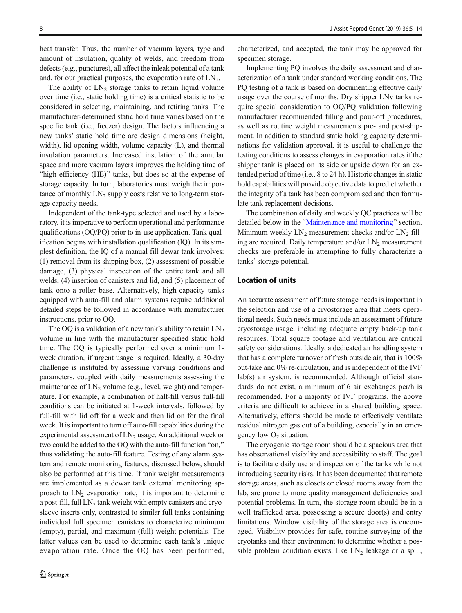heat transfer. Thus, the number of vacuum layers, type and amount of insulation, quality of welds, and freedom from defects (e.g., punctures), all affect the inleak potential of a tank and, for our practical purposes, the evaporation rate of  $LN<sub>2</sub>$ .

The ability of  $LN_2$  storage tanks to retain liquid volume over time (i.e., static holding time) is a critical statistic to be considered in selecting, maintaining, and retiring tanks. The manufacturer-determined static hold time varies based on the specific tank (i.e., freezer) design. The factors influencing a new tanks' static hold time are design dimensions (height, width), lid opening width, volume capacity (L), and thermal insulation parameters. Increased insulation of the annular space and more vacuum layers improves the holding time of "high efficiency (HE)" tanks, but does so at the expense of storage capacity. In turn, laboratories must weigh the importance of monthly  $LN_2$  supply costs relative to long-term storage capacity needs.

Independent of the tank-type selected and used by a laboratory, it is imperative to perform operational and performance qualifications (OQ/PQ) prior to in-use application. Tank qualification begins with installation qualification (IQ). In its simplest definition, the IQ of a manual fill dewar tank involves: (1) removal from its shipping box, (2) assessment of possible damage, (3) physical inspection of the entire tank and all welds, (4) insertion of canisters and lid, and (5) placement of tank onto a roller base. Alternatively, high-capacity tanks equipped with auto-fill and alarm systems require additional detailed steps be followed in accordance with manufacturer instructions, prior to OQ.

The OQ is a validation of a new tank's ability to retain  $LN<sub>2</sub>$ volume in line with the manufacturer specified static hold time. The OQ is typically performed over a minimum 1 week duration, if urgent usage is required. Ideally, a 30-day challenge is instituted by assessing varying conditions and parameters, coupled with daily measurements assessing the maintenance of  $LN_2$  volume (e.g., level, weight) and temperature. For example, a combination of half-fill versus full-fill conditions can be initiated at 1-week intervals, followed by full-fill with lid off for a week and then lid on for the final week. It is important to turn off auto-fill capabilities during the experimental assessment of  $LN<sub>2</sub>$  usage. An additional week or two could be added to the OQ with the auto-fill function "on," thus validating the auto-fill feature. Testing of any alarm system and remote monitoring features, discussed below, should also be performed at this time. If tank weight measurements are implemented as a dewar tank external monitoring approach to  $LN<sub>2</sub>$  evaporation rate, it is important to determine a post-fill, full  $LN_2$  tank weight with empty canisters and cryosleeve inserts only, contrasted to similar full tanks containing individual full specimen canisters to characterize minimum (empty), partial, and maximum (full) weight potentials. The latter values can be used to determine each tank's unique evaporation rate. Once the OQ has been performed, characterized, and accepted, the tank may be approved for specimen storage.

Implementing PQ involves the daily assessment and characterization of a tank under standard working conditions. The PQ testing of a tank is based on documenting effective daily usage over the course of months. Dry shipper LNv tanks require special consideration to OQ/PQ validation following manufacturer recommended filling and pour-off procedures, as well as routine weight measurements pre- and post-shipment. In addition to standard static holding capacity determinations for validation approval, it is useful to challenge the testing conditions to assess changes in evaporation rates if the shipper tank is placed on its side or upside down for an extended period of time (i.e., 8 to 24 h). Historic changes in static hold capabilities will provide objective data to predict whether the integrity of a tank has been compromised and then formulate tank replacement decisions.

The combination of daily and weekly QC practices will be detailed below in the "[Maintenance and monitoring](#page-4-0)" section. Minimum weekly  $LN_2$  measurement checks and/or  $LN_2$  filling are required. Daily temperature and/or  $LN<sub>2</sub>$  measurement checks are preferable in attempting to fully characterize a tanks' storage potential.

## Location of units

An accurate assessment of future storage needs is important in the selection and use of a cryostorage area that meets operational needs. Such needs must include an assessment of future cryostorage usage, including adequate empty back-up tank resources. Total square footage and ventilation are critical safety considerations. Ideally, a dedicated air handling system that has a complete turnover of fresh outside air, that is 100% out-take and 0% re-circulation, and is independent of the IVF lab(s) air system, is recommended. Although official standards do not exist, a minimum of 6 air exchanges per/h is recommended. For a majority of IVF programs, the above criteria are difficult to achieve in a shared building space. Alternatively, efforts should be made to effectively ventilate residual nitrogen gas out of a building, especially in an emergency low  $O<sub>2</sub>$  situation.

The cryogenic storage room should be a spacious area that has observational visibility and accessibility to staff. The goal is to facilitate daily use and inspection of the tanks while not introducing security risks. It has been documented that remote storage areas, such as closets or closed rooms away from the lab, are prone to more quality management deficiencies and potential problems. In turn, the storage room should be in a well trafficked area, possessing a secure door(s) and entry limitations. Window visibility of the storage area is encouraged. Visibility provides for safe, routine surveying of the cryotanks and their environment to determine whether a possible problem condition exists, like  $LN_2$  leakage or a spill,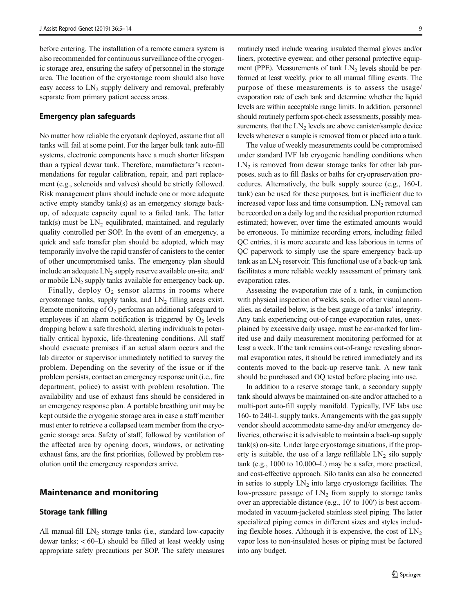<span id="page-4-0"></span>before entering. The installation of a remote camera system is also recommended for continuous surveillance of the cryogenic storage area, ensuring the safety of personnel in the storage area. The location of the cryostorage room should also have easy access to  $LN_2$  supply delivery and removal, preferably separate from primary patient access areas.

#### Emergency plan safeguards

No matter how reliable the cryotank deployed, assume that all tanks will fail at some point. For the larger bulk tank auto-fill systems, electronic components have a much shorter lifespan than a typical dewar tank. Therefore, manufacturer's recommendations for regular calibration, repair, and part replacement (e.g., solenoids and valves) should be strictly followed. Risk management plans should include one or more adequate active empty standby tank(s) as an emergency storage backup, of adequate capacity equal to a failed tank. The latter  $tank(s)$  must be  $LN<sub>2</sub>$  equilibrated, maintained, and regularly quality controlled per SOP. In the event of an emergency, a quick and safe transfer plan should be adopted, which may temporarily involve the rapid transfer of canisters to the center of other uncompromised tanks. The emergency plan should include an adequate  $LN_2$  supply reserve available on-site, and/ or mobile  $LN_2$  supply tanks available for emergency back-up.

Finally, deploy  $O_2$  sensor alarms in rooms where cryostorage tanks, supply tanks, and  $LN_2$  filling areas exist. Remote monitoring of  $O_2$  performs an additional safeguard to employees if an alarm notification is triggered by  $O_2$  levels dropping below a safe threshold, alerting individuals to potentially critical hypoxic, life-threatening conditions. All staff should evacuate premises if an actual alarm occurs and the lab director or supervisor immediately notified to survey the problem. Depending on the severity of the issue or if the problem persists, contact an emergency response unit (i.e., fire department, police) to assist with problem resolution. The availability and use of exhaust fans should be considered in an emergency response plan. A portable breathing unit may be kept outside the cryogenic storage area in case a staff member must enter to retrieve a collapsed team member from the cryogenic storage area. Safety of staff, followed by ventilation of the affected area by opening doors, windows, or activating exhaust fans, are the first priorities, followed by problem resolution until the emergency responders arrive.

### Maintenance and monitoring

#### Storage tank filling

All manual-fill  $LN_2$  storage tanks (i.e., standard low-capacity dewar tanks; < 60–L) should be filled at least weekly using appropriate safety precautions per SOP. The safety measures routinely used include wearing insulated thermal gloves and/or liners, protective eyewear, and other personal protective equipment (PPE). Measurements of tank  $LN<sub>2</sub>$  levels should be performed at least weekly, prior to all manual filling events. The purpose of these measurements is to assess the usage/ evaporation rate of each tank and determine whether the liquid levels are within acceptable range limits. In addition, personnel should routinely perform spot-check assessments, possibly measurements, that the  $LN<sub>2</sub>$  levels are above canister/sample device levels whenever a sample is removed from or placed into a tank.

The value of weekly measurements could be compromised under standard IVF lab cryogenic handling conditions when  $LN<sub>2</sub>$  is removed from dewar storage tanks for other lab purposes, such as to fill flasks or baths for cryopreservation procedures. Alternatively, the bulk supply source (e.g., 160-L tank) can be used for these purposes, but is inefficient due to increased vapor loss and time consumption.  $LN_2$  removal can be recorded on a daily log and the residual proportion returned estimated; however, over time the estimated amounts would be erroneous. To minimize recording errors, including failed QC entries, it is more accurate and less laborious in terms of QC paperwork to simply use the spare emergency back-up tank as an  $LN_2$  reservoir. This functional use of a back-up tank facilitates a more reliable weekly assessment of primary tank evaporation rates.

Assessing the evaporation rate of a tank, in conjunction with physical inspection of welds, seals, or other visual anomalies, as detailed below, is the best gauge of a tanks' integrity. Any tank experiencing out-of-range evaporation rates, unexplained by excessive daily usage, must be ear-marked for limited use and daily measurement monitoring performed for at least a week. If the tank remains out-of-range revealing abnormal evaporation rates, it should be retired immediately and its contents moved to the back-up reserve tank. A new tank should be purchased and OQ tested before placing into use.

In addition to a reserve storage tank, a secondary supply tank should always be maintained on-site and/or attached to a multi-port auto-fill supply manifold. Typically, IVF labs use 160- to 240-L supply tanks. Arrangements with the gas supply vendor should accommodate same-day and/or emergency deliveries, otherwise it is advisable to maintain a back-up supply tank(s) on-site. Under large cryostorage situations, if the property is suitable, the use of a large refillable  $LN_2$  silo supply tank (e.g., 1000 to 10,000–L) may be a safer, more practical, and cost-effective approach. Silo tanks can also be connected in series to supply  $LN_2$  into large cryostorage facilities. The low-pressure passage of  $LN<sub>2</sub>$  from supply to storage tanks over an appreciable distance (e.g., 10′ to 100′) is best accommodated in vacuum-jacketed stainless steel piping. The latter specialized piping comes in different sizes and styles including flexible hoses. Although it is expensive, the cost of  $LN<sub>2</sub>$ vapor loss to non-insulated hoses or piping must be factored into any budget.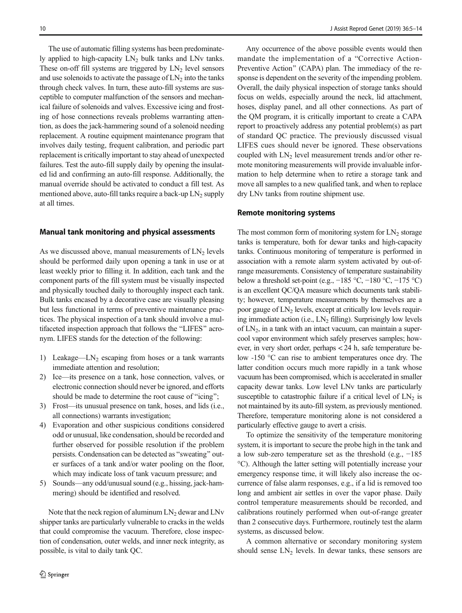The use of automatic filling systems has been predominately applied to high-capacity  $LN_2$  bulk tanks and LNv tanks. These on-off fill systems are triggered by  $LN<sub>2</sub>$  level sensors and use solenoids to activate the passage of  $LN<sub>2</sub>$  into the tanks through check valves. In turn, these auto-fill systems are susceptible to computer malfunction of the sensors and mechanical failure of solenoids and valves. Excessive icing and frosting of hose connections reveals problems warranting attention, as does the jack-hammering sound of a solenoid needing replacement. A routine equipment maintenance program that involves daily testing, frequent calibration, and periodic part replacement is critically important to stay ahead of unexpected failures. Test the auto-fill supply daily by opening the insulated lid and confirming an auto-fill response. Additionally, the manual override should be activated to conduct a fill test. As mentioned above, auto-fill tanks require a back-up  $LN_2$  supply at all times.

#### Manual tank monitoring and physical assessments

As we discussed above, manual measurements of  $LN<sub>2</sub>$  levels should be performed daily upon opening a tank in use or at least weekly prior to filling it. In addition, each tank and the component parts of the fill system must be visually inspected and physically touched daily to thoroughly inspect each tank. Bulk tanks encased by a decorative case are visually pleasing but less functional in terms of preventive maintenance practices. The physical inspection of a tank should involve a multifaceted inspection approach that follows the "LIFES" acronym. LIFES stands for the detection of the following:

- 1) Leakage—LN<sub>2</sub> escaping from hoses or a tank warrants immediate attention and resolution;
- 2) Ice—its presence on a tank, hose connection, valves, or electronic connection should never be ignored, and efforts should be made to determine the root cause of "icing";
- 3) Frost—its unusual presence on tank, hoses, and lids (i.e., all connections) warrants investigation;
- 4) Evaporation and other suspicious conditions considered odd or unusual, like condensation, should be recorded and further observed for possible resolution if the problem persists. Condensation can be detected as "sweating" outer surfaces of a tank and/or water pooling on the floor, which may indicate loss of tank vacuum pressure; and
- 5) Sounds—any odd/unusual sound (e.g., hissing, jack-hammering) should be identified and resolved.

Note that the neck region of aluminum  $LN_2$  dewar and  $LNv$ shipper tanks are particularly vulnerable to cracks in the welds that could compromise the vacuum. Therefore, close inspection of condensation, outer welds, and inner neck integrity, as possible, is vital to daily tank QC.

Any occurrence of the above possible events would then mandate the implementation of a "Corrective Action-Preventive Action" (CAPA) plan. The immediacy of the response is dependent on the severity of the impending problem. Overall, the daily physical inspection of storage tanks should focus on welds, especially around the neck, lid attachment, hoses, display panel, and all other connections. As part of the QM program, it is critically important to create a CAPA report to proactively address any potential problem(s) as part of standard QC practice. The previously discussed visual LIFES cues should never be ignored. These observations coupled with  $LN<sub>2</sub>$  level measurement trends and/or other remote monitoring measurements will provide invaluable information to help determine when to retire a storage tank and move all samples to a new qualified tank, and when to replace dry LNv tanks from routine shipment use.

#### Remote monitoring systems

The most common form of monitoring system for  $LN<sub>2</sub>$  storage tanks is temperature, both for dewar tanks and high-capacity tanks. Continuous monitoring of temperature is performed in association with a remote alarm system activated by out-ofrange measurements. Consistency of temperature sustainability below a threshold set-point (e.g.,  $-185$  °C,  $-180$  °C,  $-175$  °C) is an excellent QC/QA measure which documents tank stability; however, temperature measurements by themselves are a poor gauge of  $LN<sub>2</sub>$  levels, except at critically low levels requiring immediate action (i.e.,  $LN_2$  filling). Surprisingly low levels of  $LN<sub>2</sub>$ , in a tank with an intact vacuum, can maintain a supercool vapor environment which safely preserves samples; however, in very short order, perhaps < 24 h, safe temperature below -150 °C can rise to ambient temperatures once dry. The latter condition occurs much more rapidly in a tank whose vacuum has been compromised, which is accelerated in smaller capacity dewar tanks. Low level LNv tanks are particularly susceptible to catastrophic failure if a critical level of  $LN<sub>2</sub>$  is not maintained by its auto-fill system, as previously mentioned. Therefore, temperature monitoring alone is not considered a particularly effective gauge to avert a crisis.

To optimize the sensitivity of the temperature monitoring system, it is important to secure the probe high in the tank and a low sub-zero temperature set as the threshold (e.g., −185 °C). Although the latter setting will potentially increase your emergency response time, it will likely also increase the occurrence of false alarm responses, e.g., if a lid is removed too long and ambient air settles in over the vapor phase. Daily control temperature measurements should be recorded, and calibrations routinely performed when out-of-range greater than 2 consecutive days. Furthermore, routinely test the alarm systems, as discussed below.

A common alternative or secondary monitoring system should sense  $LN_2$  levels. In dewar tanks, these sensors are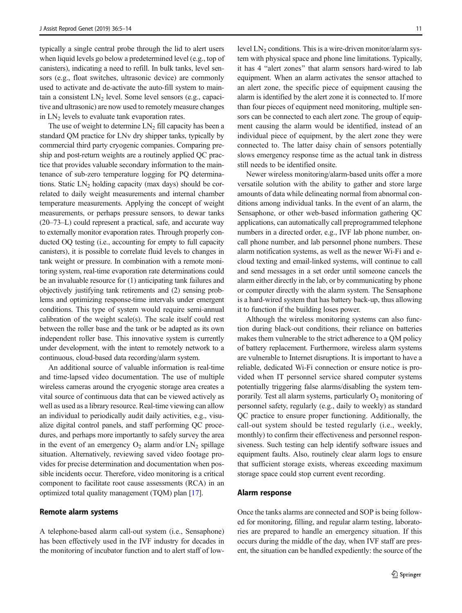typically a single central probe through the lid to alert users when liquid levels go below a predetermined level (e.g., top of canisters), indicating a need to refill. In bulk tanks, level sensors (e.g., float switches, ultrasonic device) are commonly used to activate and de-activate the auto-fill system to maintain a consistent  $LN_2$  level. Some level sensors (e.g., capacitive and ultrasonic) are now used to remotely measure changes in  $LN_2$  levels to evaluate tank evaporation rates.

The use of weight to determine  $LN<sub>2</sub>$  fill capacity has been a standard QM practice for LNv dry shipper tanks, typically by commercial third party cryogenic companies. Comparing preship and post-return weights are a routinely applied QC practice that provides valuable secondary information to the maintenance of sub-zero temperature logging for PQ determinations. Static  $LN_2$  holding capacity (max days) should be correlated to daily weight measurements and internal chamber temperature measurements. Applying the concept of weight measurements, or perhaps pressure sensors, to dewar tanks (20–73–L) could represent a practical, safe, and accurate way to externally monitor evaporation rates. Through properly conducted OQ testing (i.e., accounting for empty to full capacity canisters), it is possible to correlate fluid levels to changes in tank weight or pressure. In combination with a remote monitoring system, real-time evaporation rate determinations could be an invaluable resource for (1) anticipating tank failures and objectively justifying tank retirements and (2) sensing problems and optimizing response-time intervals under emergent conditions. This type of system would require semi-annual calibration of the weight scale(s). The scale itself could rest between the roller base and the tank or be adapted as its own independent roller base. This innovative system is currently under development, with the intent to remotely network to a continuous, cloud-based data recording/alarm system.

An additional source of valuable information is real-time and time-lapsed video documentation. The use of multiple wireless cameras around the cryogenic storage area creates a vital source of continuous data that can be viewed actively as well as used as a library resource. Real-time viewing can allow an individual to periodically audit daily activities, e.g., visualize digital control panels, and staff performing QC procedures, and perhaps more importantly to safely survey the area in the event of an emergency  $O_2$  alarm and/or  $LN_2$  spillage situation. Alternatively, reviewing saved video footage provides for precise determination and documentation when possible incidents occur. Therefore, video monitoring is a critical component to facilitate root cause assessments (RCA) in an optimized total quality management (TQM) plan [[17\]](#page-9-0).

#### Remote alarm systems

A telephone-based alarm call-out system (i.e., Sensaphone) has been effectively used in the IVF industry for decades in the monitoring of incubator function and to alert staff of lowlevel  $LN_2$  conditions. This is a wire-driven monitor/alarm system with physical space and phone line limitations. Typically, it has 4 "alert zones" that alarm sensors hard-wired to lab equipment. When an alarm activates the sensor attached to an alert zone, the specific piece of equipment causing the alarm is identified by the alert zone it is connected to. If more than four pieces of equipment need monitoring, multiple sensors can be connected to each alert zone. The group of equipment causing the alarm would be identified, instead of an individual piece of equipment, by the alert zone they were connected to. The latter daisy chain of sensors potentially slows emergency response time as the actual tank in distress still needs to be identified onsite.

Newer wireless monitoring/alarm-based units offer a more versatile solution with the ability to gather and store large amounts of data while delineating normal from abnormal conditions among individual tanks. In the event of an alarm, the Sensaphone, or other web-based information gathering QC applications, can automatically call preprogrammed telephone numbers in a directed order, e.g., IVF lab phone number, oncall phone number, and lab personnel phone numbers. These alarm notification systems, as well as the newer Wi-Fi and ecloud texting and email-linked systems, will continue to call and send messages in a set order until someone cancels the alarm either directly in the lab, or by communicating by phone or computer directly with the alarm system. The Sensaphone is a hard-wired system that has battery back-up, thus allowing it to function if the building loses power.

Although the wireless monitoring systems can also function during black-out conditions, their reliance on batteries makes them vulnerable to the strict adherence to a QM policy of battery replacement. Furthermore, wireless alarm systems are vulnerable to Internet disruptions. It is important to have a reliable, dedicated Wi-Fi connection or ensure notice is provided when IT personnel service shared computer systems potentially triggering false alarms/disabling the system temporarily. Test all alarm systems, particularly  $O_2$  monitoring of personnel safety, regularly (e.g., daily to weekly) as standard QC practice to ensure proper functioning. Additionally, the call-out system should be tested regularly (i.e., weekly, monthly) to confirm their effectiveness and personnel responsiveness. Such testing can help identify software issues and equipment faults. Also, routinely clear alarm logs to ensure that sufficient storage exists, whereas exceeding maximum storage space could stop current event recording.

#### Alarm response

Once the tanks alarms are connected and SOP is being followed for monitoring, filling, and regular alarm testing, laboratories are prepared to handle an emergency situation. If this occurs during the middle of the day, when IVF staff are present, the situation can be handled expediently: the source of the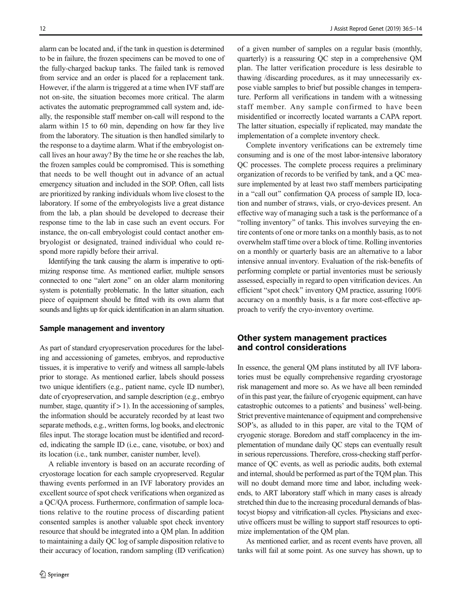alarm can be located and, if the tank in question is determined to be in failure, the frozen specimens can be moved to one of the fully-charged backup tanks. The failed tank is removed from service and an order is placed for a replacement tank. However, if the alarm is triggered at a time when IVF staff are not on-site, the situation becomes more critical. The alarm activates the automatic preprogrammed call system and, ideally, the responsible staff member on-call will respond to the alarm within 15 to 60 min, depending on how far they live from the laboratory. The situation is then handled similarly to the response to a daytime alarm. What if the embryologist oncall lives an hour away? By the time he or she reaches the lab, the frozen samples could be compromised. This is something that needs to be well thought out in advance of an actual emergency situation and included in the SOP. Often, call lists are prioritized by ranking individuals whom live closest to the laboratory. If some of the embryologists live a great distance from the lab, a plan should be developed to decrease their response time to the lab in case such an event occurs. For instance, the on-call embryologist could contact another embryologist or designated, trained individual who could respond more rapidly before their arrival.

Identifying the tank causing the alarm is imperative to optimizing response time. As mentioned earlier, multiple sensors connected to one "alert zone" on an older alarm monitoring system is potentially problematic. In the latter situation, each piece of equipment should be fitted with its own alarm that sounds and lights up for quick identification in an alarm situation.

#### Sample management and inventory

As part of standard cryopreservation procedures for the labeling and accessioning of gametes, embryos, and reproductive tissues, it is imperative to verify and witness all sample-labels prior to storage. As mentioned earlier, labels should possess two unique identifiers (e.g., patient name, cycle ID number), date of cryopreservation, and sample description (e.g., embryo number, stage, quantity if  $> 1$ ). In the accessioning of samples, the information should be accurately recorded by at least two separate methods, e.g., written forms, log books, and electronic files input. The storage location must be identified and recorded, indicating the sample ID (i.e., cane, visotube, or box) and its location (i.e., tank number, canister number, level).

A reliable inventory is based on an accurate recording of cryostorage location for each sample cryopreserved. Regular thawing events performed in an IVF laboratory provides an excellent source of spot check verifications when organized as a QC/QA process. Furthermore, confirmation of sample locations relative to the routine process of discarding patient consented samples is another valuable spot check inventory resource that should be integrated into a QM plan. In addition to maintaining a daily QC log of sample disposition relative to their accuracy of location, random sampling (ID verification)

of a given number of samples on a regular basis (monthly, quarterly) is a reassuring QC step in a comprehensive QM plan. The latter verification procedure is less desirable to thawing /discarding procedures, as it may unnecessarily expose viable samples to brief but possible changes in temperature. Perform all verifications in tandem with a witnessing staff member. Any sample confirmed to have been misidentified or incorrectly located warrants a CAPA report. The latter situation, especially if replicated, may mandate the implementation of a complete inventory check.

Complete inventory verifications can be extremely time consuming and is one of the most labor-intensive laboratory QC processes. The complete process requires a preliminary organization of records to be verified by tank, and a QC measure implemented by at least two staff members participating in a "call out" confirmation QA process of sample ID, location and number of straws, vials, or cryo-devices present. An effective way of managing such a task is the performance of a "rolling inventory" of tanks. This involves surveying the entire contents of one or more tanks on a monthly basis, as to not overwhelm staff time over a block of time. Rolling inventories on a monthly or quarterly basis are an alternative to a labor intensive annual inventory. Evaluation of the risk-benefits of performing complete or partial inventories must be seriously assessed, especially in regard to open vitrification devices. An efficient "spot check" inventory QM practice, assuring 100% accuracy on a monthly basis, is a far more cost-effective approach to verify the cryo-inventory overtime.

## Other system management practices and control considerations

In essence, the general QM plans instituted by all IVF laboratories must be equally comprehensive regarding cryostorage risk management and more so. As we have all been reminded of in this past year, the failure of cryogenic equipment, can have catastrophic outcomes to a patients' and business' well-being. Strict preventive maintenance of equipment and comprehensive SOP's, as alluded to in this paper, are vital to the TQM of cryogenic storage. Boredom and staff complacency in the implementation of mundane daily QC steps can eventually result in serious repercussions. Therefore, cross-checking staff performance of QC events, as well as periodic audits, both external and internal, should be performed as part of the TQM plan. This will no doubt demand more time and labor, including weekends, to ART laboratory staff which in many cases is already stretched thin due to the increasing procedural demands of blastocyst biopsy and vitrification-all cycles. Physicians and executive officers must be willing to support staff resources to optimize implementation of the QM plan.

As mentioned earlier, and as recent events have proven, all tanks will fail at some point. As one survey has shown, up to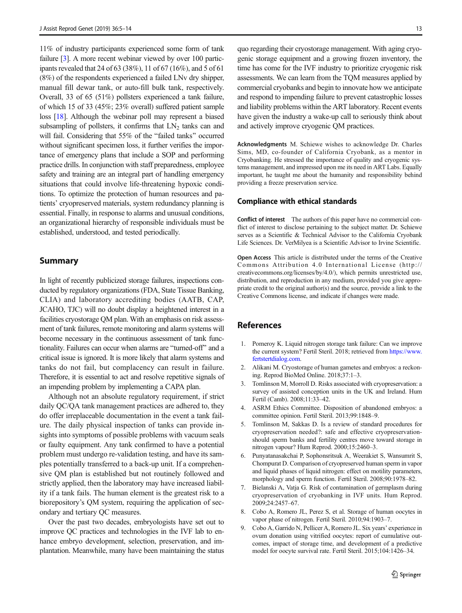<span id="page-8-0"></span>11% of industry participants experienced some form of tank failure [3]. A more recent webinar viewed by over 100 participants revealed that 24 of 63 (38%), 11 of 67 (16%), and 5 of 61 (8%) of the respondents experienced a failed LNv dry shipper, manual fill dewar tank, or auto-fill bulk tank, respectively. Overall, 33 of 65 (51%) pollsters experienced a tank failure, of which 15 of 33 (45%; 23% overall) suffered patient sample loss [\[18](#page-9-0)]. Although the webinar poll may represent a biased subsampling of pollsters, it confirms that  $LN<sub>2</sub>$  tanks can and will fail. Considering that 55% of the "failed tanks" occurred without significant specimen loss, it further verifies the importance of emergency plans that include a SOP and performing practice drills. In conjunction with staff preparedness, employee safety and training are an integral part of handling emergency situations that could involve life-threatening hypoxic conditions. To optimize the protection of human resources and patients' cryopreserved materials, system redundancy planning is essential. Finally, in response to alarms and unusual conditions, an organizational hierarchy of responsible individuals must be established, understood, and tested periodically.

## Summary

In light of recently publicized storage failures, inspections conducted by regulatory organizations (FDA, State Tissue Banking, CLIA) and laboratory accrediting bodies (AATB, CAP, JCAHO, TJC) will no doubt display a heightened interest in a facilities cryostorage QM plan. With an emphasis on risk assessment of tank failures, remote monitoring and alarm systems will become necessary in the continuous assessment of tank functionality. Failures can occur when alarms are "turned-off" and a critical issue is ignored. It is more likely that alarm systems and tanks do not fail, but complacency can result in failure. Therefore, it is essential to act and resolve repetitive signals of an impending problem by implementing a CAPA plan.

Although not an absolute regulatory requirement, if strict daily QC/QA tank management practices are adhered to, they do offer irreplaceable documentation in the event a tank failure. The daily physical inspection of tanks can provide insights into symptoms of possible problems with vacuum seals or faulty equipment. Any tank confirmed to have a potential problem must undergo re-validation testing, and have its samples potentially transferred to a back-up unit. If a comprehensive QM plan is established but not routinely followed and strictly applied, then the laboratory may have increased liability if a tank fails. The human element is the greatest risk to a biorepository's QM system, requiring the application of secondary and tertiary QC measures.

Over the past two decades, embryologists have set out to improve QC practices and technologies in the IVF lab to enhance embryo development, selection, preservation, and implantation. Meanwhile, many have been maintaining the status

quo regarding their cryostorage management. With aging cryogenic storage equipment and a growing frozen inventory, the time has come for the IVF industry to prioritize cryogenic risk assessments. We can learn from the TQM measures applied by commercial cryobanks and begin to innovate how we anticipate and respond to impending failure to prevent catastrophic losses and liability problems within the ART laboratory. Recent events have given the industry a wake-up call to seriously think about and actively improve cryogenic QM practices.

Acknowledgments M. Schiewe wishes to acknowledge Dr. Charles Sims, MD, co-founder of California Cryobank, as a mentor in Cryobanking. He stressed the importance of quality and cryogenic systems management, and impressed upon me its need in ART Labs. Equally important, he taught me about the humanity and responsibility behind providing a freeze preservation service.

## Compliance with ethical standards

Conflict of interest The authors of this paper have no commercial conflict of interest to disclose pertaining to the subject matter. Dr. Schiewe serves as a Scientific & Technical Advisor to the California Cryobank Life Sciences. Dr. VerMilyea is a Scientific Advisor to Irvine Scientific.

Open Access This article is distributed under the terms of the Creative Commons Attribution 4.0 International License (http:// creativecommons.org/licenses/by/4.0/), which permits unrestricted use, distribution, and reproduction in any medium, provided you give appropriate credit to the original author(s) and the source, provide a link to the Creative Commons license, and indicate if changes were made.

## References

- 1. Pomeroy K. Liquid nitrogen storage tank failure: Can we improve the current system? Fertil Steril. 2018; retrieved from [https://www.](https://www.fertstertdialog.com) [fertstertdialog.com.](https://www.fertstertdialog.com)
- 2. Alikani M. Cryostorage of human gametes and embryos: a reckoning. Reprod BioMed Online. 2018;37:1–3.
- 3. Tomlinson M, Morroll D. Risks associated with cryopreservation: a survey of assisted conception units in the UK and Ireland. Hum Fertil (Camb). 2008;11:33–42.
- 4. ASRM Ethics Committee. Disposition of abandoned embryos: a committee opinion. Fertil Steril. 2013;99:1848–9.
- 5. Tomlinson M, Sakkas D. Is a review of standard procedures for cryopreservation needed?: safe and effective cryopreservationshould sperm banks and fertility centres move toward storage in nitrogen vapour? Hum Reprod. 2000;15:2460–3.
- 6. Punyatanasakchai P, Sophonsritsuk A, Weerakiet S, Wansumrit S, Chompurat D. Comparison of cryopreserved human sperm in vapor and liquid phases of liquid nitrogen: effect on motility parameters, morphology and sperm function. Fertil Steril. 2008;90:1978–82.
- 7. Bielanski A, Vatja G. Risk of contamination of germplasm during cryopreservation of cryobanking in IVF units. Hum Reprod. 2009;24:2457–67.
- 8. Cobo A, Romero JL, Perez S, et al. Storage of human oocytes in vapor phase of nitrogen. Fertil Steril. 2010;94:1903–7.
- 9. Cobo A, Garrido N, Pellicer A, Romero JL. Six years' experience in ovum donation using vitrified oocytes: report of cumulative outcomes, impact of storage time, and development of a predictive model for oocyte survival rate. Fertil Steril. 2015;104:1426–34.